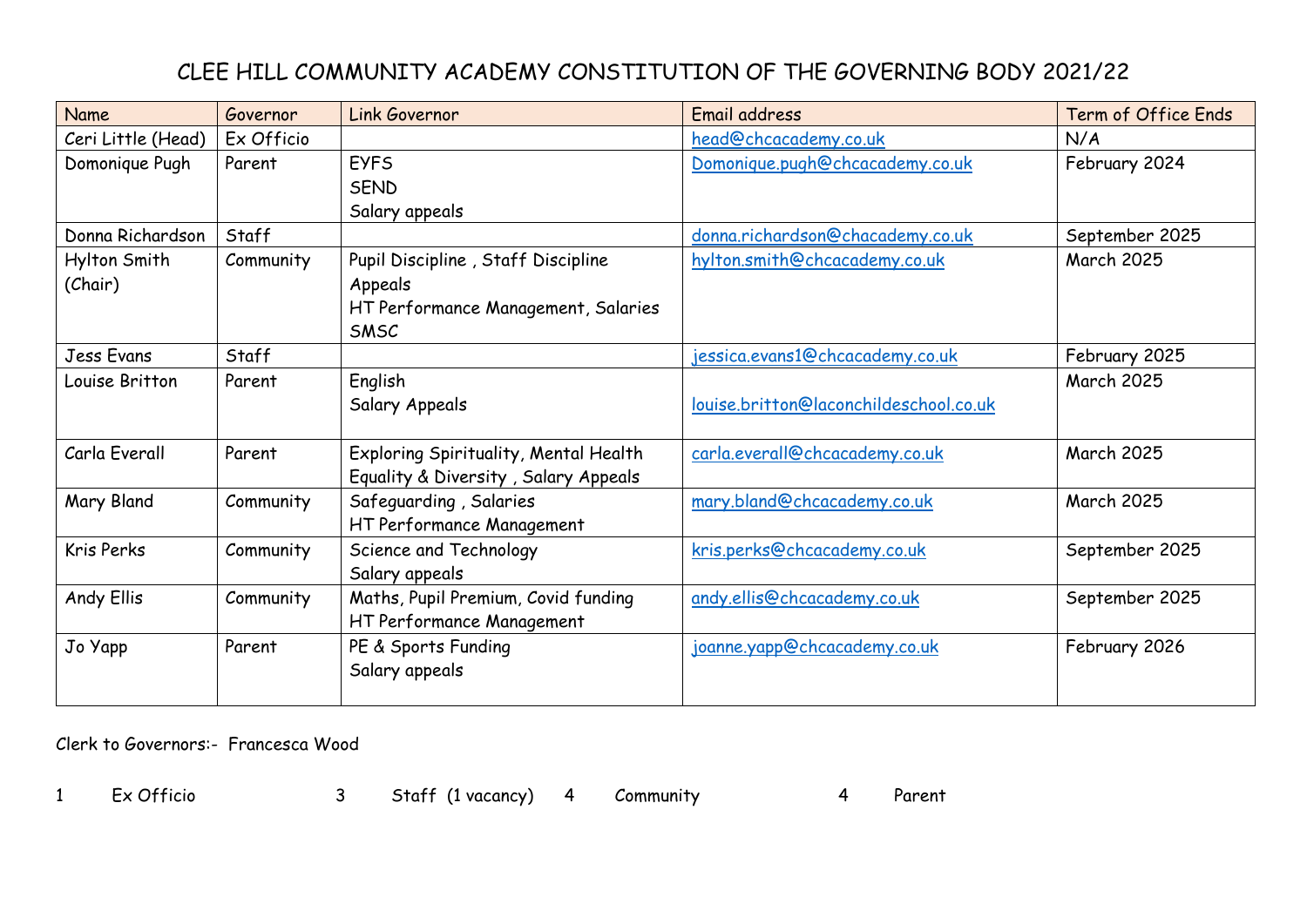## CLEE HILL COMMUNITY ACADEMY CONSTITUTION OF THE GOVERNING BODY 2021/22

| Name               | Governor   | Link Governor                         | Email address                          | Term of Office Ends |
|--------------------|------------|---------------------------------------|----------------------------------------|---------------------|
| Ceri Little (Head) | Ex Officio |                                       | head@chcacademy.co.uk                  | N/A                 |
| Domonique Pugh     | Parent     | <b>EYFS</b>                           | Domonique.pugh@chcacademy.co.uk        | February 2024       |
|                    |            | <b>SEND</b>                           |                                        |                     |
|                    |            | Salary appeals                        |                                        |                     |
| Donna Richardson   | Staff      |                                       | donna.richardson@chacademy.co.uk       | September 2025      |
| Hylton Smith       | Community  | Pupil Discipline, Staff Discipline    | hylton.smith@chcacademy.co.uk          | <b>March 2025</b>   |
| (Chair)            |            | Appeals                               |                                        |                     |
|                    |            | HT Performance Management, Salaries   |                                        |                     |
|                    |            | SMSC                                  |                                        |                     |
| Jess Evans         | Staff      |                                       | jessica.evans1@chcacademy.co.uk        | February 2025       |
| Louise Britton     | Parent     | English                               |                                        | <b>March 2025</b>   |
|                    |            | Salary Appeals                        | louise.britton@laconchildeschool.co.uk |                     |
|                    |            |                                       |                                        |                     |
| Carla Everall      | Parent     | Exploring Spirituality, Mental Health | carla.everall@chcacademy.co.uk         | <b>March 2025</b>   |
|                    |            | Equality & Diversity, Salary Appeals  |                                        |                     |
| Mary Bland         | Community  | Safeguarding, Salaries                | mary.bland@chcacademy.co.uk            | <b>March 2025</b>   |
|                    |            | HT Performance Management             |                                        |                     |
| Kris Perks         | Community  | Science and Technology                | kris.perks@chcacademy.co.uk            | September 2025      |
|                    |            | Salary appeals                        |                                        |                     |
| Andy Ellis         | Community  | Maths, Pupil Premium, Covid funding   | andy.ellis@chcacademy.co.uk            | September 2025      |
|                    |            | HT Performance Management             |                                        |                     |
| Jo Yapp            | Parent     | PE & Sports Funding                   | joanne.yapp@chcacademy.co.uk           | February 2026       |
|                    |            | Salary appeals                        |                                        |                     |
|                    |            |                                       |                                        |                     |

Clerk to Governors:- Francesca Wood

1 Ex Officio 3 Staff (1 vacancy) 4 Community 4 Parent